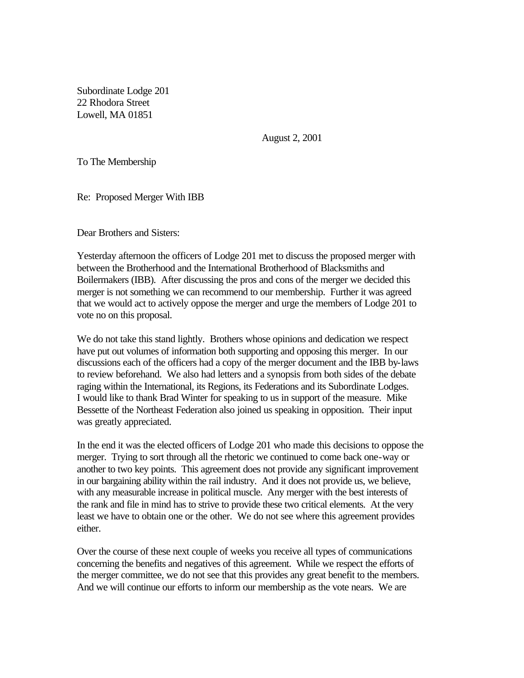Subordinate Lodge 201 22 Rhodora Street Lowell, MA 01851

August 2, 2001

To The Membership

Re: Proposed Merger With IBB

Dear Brothers and Sisters:

Yesterday afternoon the officers of Lodge 201 met to discuss the proposed merger with between the Brotherhood and the International Brotherhood of Blacksmiths and Boilermakers (IBB). After discussing the pros and cons of the merger we decided this merger is not something we can recommend to our membership. Further it was agreed that we would act to actively oppose the merger and urge the members of Lodge 201 to vote no on this proposal.

We do not take this stand lightly. Brothers whose opinions and dedication we respect have put out volumes of information both supporting and opposing this merger. In our discussions each of the officers had a copy of the merger document and the IBB by-laws to review beforehand. We also had letters and a synopsis from both sides of the debate raging within the International, its Regions, its Federations and its Subordinate Lodges. I would like to thank Brad Winter for speaking to us in support of the measure. Mike Bessette of the Northeast Federation also joined us speaking in opposition. Their input was greatly appreciated.

In the end it was the elected officers of Lodge 201 who made this decisions to oppose the merger. Trying to sort through all the rhetoric we continued to come back one-way or another to two key points. This agreement does not provide any significant improvement in our bargaining ability within the rail industry. And it does not provide us, we believe, with any measurable increase in political muscle. Any merger with the best interests of the rank and file in mind has to strive to provide these two critical elements. At the very least we have to obtain one or the other. We do not see where this agreement provides either.

Over the course of these next couple of weeks you receive all types of communications concerning the benefits and negatives of this agreement. While we respect the efforts of the merger committee, we do not see that this provides any great benefit to the members. And we will continue our efforts to inform our membership as the vote nears. We are